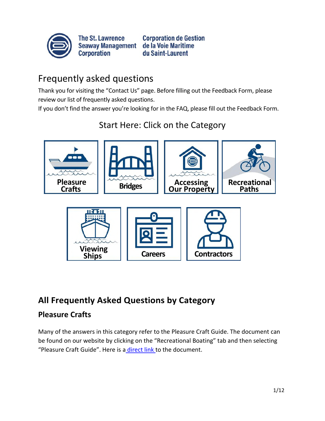

**The St. Lawrence** Seaway Management de la Voie Maritime **Corporation** 

**Corporation de Gestion** du Saint-Laurent

# Frequently asked questions

Thank you for visiting the "Contact Us" page. Before filling out the Feedback Form, please review our list of frequently asked questions.

If you don't find the answer you're looking for in the FAQ, please fill out the Feedback Form.



Start Here: Click on the Category



## **All Frequently Asked Questions by Category**

## **Pleasure Crafts**

Many of the answers in this category refer to the Pleasure Craft Guide. The document can be found on our website by clicking on the "Recreational Boating" tab and then selecting "Pleasure Craft Guide". Here is [a direct link](https://greatlakes-seaway.com/wp-content/uploads/2021/04/pleasurecraftguide_en.pdf) [t](https://greatlakes-seaway.com/wp-content/uploads/2021/04/pleasurecraftguide_en.pdf)o the document.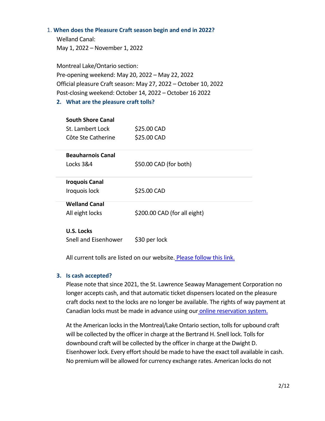#### 1. **When does the Pleasure Craft season begin and end in 2022?**

Welland Canal: May 1, 2022 – November 1, 2022

Montreal Lake/Ontario section: Pre-opening weekend: May 20, 2022 – May 22, 2022 Official pleasure Craft season: May 27, 2022 – October 10, 2022 Post-closing weekend: October 14, 2022 – October 16 2022

#### **2. What are the pleasure craft tolls?**

| <b>South Shore Canal</b><br>St. Lambert Lock<br>Côte Ste Catherine | \$25.00 CAD<br>\$25.00 CAD   |
|--------------------------------------------------------------------|------------------------------|
| <b>Beauharnois Canal</b>                                           |                              |
| Locks 3&4                                                          | \$50.00 CAD (for both)       |
| <b>Iroquois Canal</b>                                              |                              |
| Iroquois lock                                                      | \$25.00 CAD                  |
| <b>Welland Canal</b>                                               |                              |
| All eight locks                                                    | \$200.00 CAD (for all eight) |
| U.S. Locks                                                         |                              |

Snell and Eisenhower \$30 per lock

All current tolls are listed on our website. [Please follow this link.](https://greatlakes-seaway.com/en/pleasure-craft/#Tolls)

#### **3. Is cash accepted?**

Please note that since 2021, the St. Lawrence Seaway Management Corporation no longer accepts cash, and that automatic ticket dispensers located on the pleasure craft docks next to the locks are no longer be available. The rights of way payment at Canadian locks must be made in advance using ou[r online reservation system.](https://greatlakes-seaway.com/en/recreational-boating/lockage-booking/)

At the American locks in the Montreal/Lake Ontario section, tolls for upbound craft will be collected by the officer in charge at the Bertrand H. Snell lock. Tolls for downbound craft will be collected by the officer in charge at the Dwight D. Eisenhower lock. Every effort should be made to have the exact toll available in cash. No premium will be allowed for currency exchange rates. American locks do not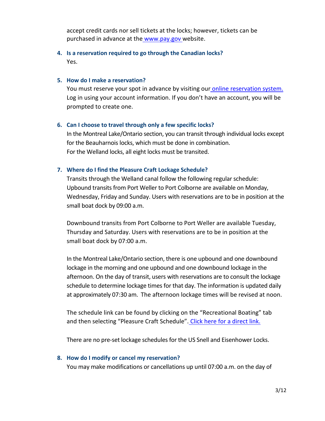accept credit cards nor sell tickets at the locks; however, tickets can be purchased in advance at th[e www.pay.gov](http://www.pay.gov/) [w](http://www.pay.gov/)ebsite.

## **4. Is a reservation required to go through the Canadian locks?**  Yes.

#### **5. How do I make a reservation?**

You must reserve your spot in advance by visiting ou[r online reservation system.](https://greatlakes-seaway.com/en/recreational-boating/lockage-booking/) Log in using your account information. If you don't have an account, you will be prompted to create one.

#### **6. Can I choose to travel through only a few specific locks?**

In the Montreal Lake/Ontario section, you can transit through individual locks except for the Beauharnois locks, which must be done in combination. For the Welland locks, all eight locks must be transited.

#### **7. Where do I find the Pleasure Craft Lockage Schedule?**

Transits through the Welland canal follow the following regular schedule: Upbound transits from Port Weller to Port Colborne are available on Monday, Wednesday, Friday and Sunday. Users with reservations are to be in position at the small boat dock by 09:00 a.m.

Downbound transits from Port Colborne to Port Weller are available Tuesday, Thursday and Saturday. Users with reservations are to be in position at the small boat dock by 07:00 a.m.

In the Montreal Lake/Ontario section, there is one upbound and one downbound lockage in the morning and one upbound and one downbound lockage in the afternoon. On the day of transit, users with reservations are to consult the lockage schedule to determine lockage times for that day. The information is updated daily at approximately 07:30 am. The afternoon lockage times will be revised at noon.

The schedule link can be found by clicking on the "Recreational Boating" tab and then selecting "Pleasure Craft Schedule". Click here for a direct link.

There are no pre-set lockage schedules for the US Snell and Eisenhower Locks.

#### **8. How do I modify or cancel my reservation?**

You may make modifications or cancellations up until 07:00 a.m. on the day of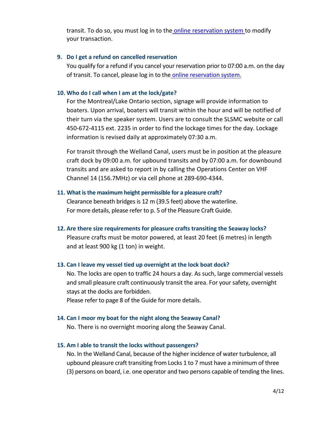transit. To do so, you must log in to th[e online reservation system](https://greatlakes-seaway.com/en/recreational-boating/lockage-booking/) to modify your transaction.

#### **9. Do I get a refund on cancelled reservation**

You qualify for a refund if you cancel your reservation prior to 07:00 a.m. on the day of transit. To cancel, please log in to the [online reservation system.](https://greatlakes-seaway.com/en/recreational-boating/lockage-booking/)

#### **10. Who do I call when I am at the lock/gate?**

For the Montreal/Lake Ontario section, signage will provide information to boaters. Upon arrival, boaters will transit within the hour and will be notified of their turn via the speaker system. Users are to consult the SLSMC website or call 450-672-4115 ext. 2235 in order to find the lockage times for the day. Lockage information is revised daily at approximately 07:30 a.m.

For transit through the Welland Canal, users must be in position at the pleasure craft dock by 09:00 a.m. for upbound transits and by 07:00 a.m. for downbound transits and are asked to report in by calling the Operations Center on VHF Channel 14 (156.7MHz) or via cell phone at 289-690-4344.

#### **11. What is the maximum height permissible for a pleasure craft?**

Clearance beneath bridges is 12 m (39.5 feet) above the waterline. For more details, please refer to p. 5 of the Pleasure Craft Guide.

**12. Are there size requirements for pleasure crafts transiting the Seaway locks?** 

Pleasure crafts must be motor powered, at least 20 feet (6 metres) in length and at least 900 kg (1 ton) in weight.

#### **13. Can I leave my vessel tied up overnight at the lock boat dock?**

No. The locks are open to traffic 24 hours a day. As such, large commercial vessels and small pleasure craft continuously transit the area. For your safety, overnight stays at the docks are forbidden.

Please refer to page 8 of the Guide for more details.

#### **14. Can I moor my boat for the night along the Seaway Canal?**

No. There is no overnight mooring along the Seaway Canal.

#### **15. Am I able to transit the locks without passengers?**

No. In the Welland Canal, because of the higher incidence of water turbulence, all upbound pleasure craft transiting from Locks 1 to 7 must have a minimum of three (3) persons on board, i.e. one operator and two persons capable of tending the lines.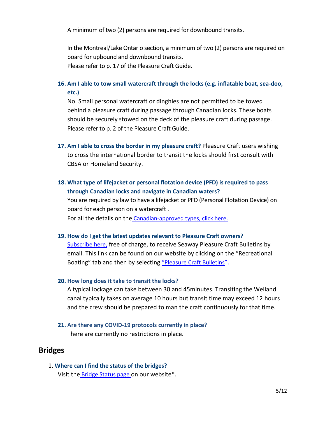A minimum of two (2) persons are required for downbound transits.

In the Montreal/Lake Ontario section, a minimum of two (2) persons are required on board for upbound and downbound transits. Please refer to p. 17 of the Pleasure Craft Guide.

## **16. Am I able to tow small watercraft through the locks (e.g. inflatable boat, sea-doo, etc.)**

No. Small personal watercraft or dinghies are not permitted to be towed behind a pleasure craft during passage through Canadian locks. These boats should be securely stowed on the deck of the pleasure craft during passage. Please refer to p. 2 of the Pleasure Craft Guide.

- **17. Am I able to cross the border in my pleasure craft?** Pleasure Craft users wishing to cross the international border to transit the locks should first consult with CBSA or Homeland Security.
- **18. What type of lifejacket or personal flotation device (PFD) is required to pass through Canadian locks and navigate in Canadian waters?**

You are required by law to have a lifejacket or PFD (Personal Flotation Device) on board for each person on a watercraft . For all the details on the [Canadian-approved types, click here](https://tc.canada.ca/en/marine-transportation/getting-started-safe-boating/choosing-lifejackets-personal-flotation-devices-pfds)[.](https://tc.canada.ca/en/marine-transportation/getting-started-safe-boating/choosing-lifejackets-personal-flotation-devices-pfds)

**19. How do I get the latest updates relevant to Pleasure Craft owners?** 

[Subscribe here](https://greatlakes-seaway.com/en/news-information/subscribe-to-news-broadcast/)[,](https://greatlakes-seaway.com/en/news-information/subscribe-to-news-broadcast/) free of charge, to receive Seaway Pleasure Craft Bulletins by email. This link can be found on our website by clicking on the "Recreational Boating["](https://greatlakes-seaway.com/en/recreational-boating/pleasure-craft-bulletins/) tab and then by selecting "[Pleasure Craft Bulletins](https://greatlakes-seaway.com/en/recreational-boating/pleasure-craft-bulletins/)".

#### **20. How long does it take to transit the locks?**

A typical lockage can take between 30 and 45minutes. Transiting the Welland canal typically takes on average 10 hours but transit time may exceed 12 hours and the crew should be prepared to man the craft continuously for that time.

**21. Are there any COVID-19 protocols currently in place?**  There are currently no restrictions in place.

## **Bridges**

1. **Where can I find the status of the bridges?**  Visit the [Bridge Status page](https://greatlakes-seaway.com/en/recreational-boating/bridge-status/) on our website\*.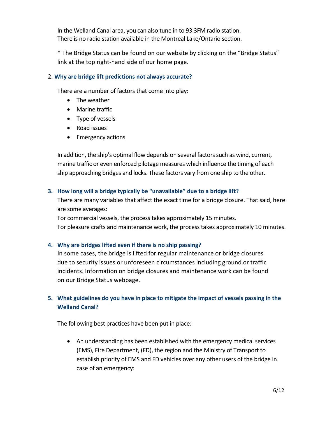In the Welland Canal area, you can also tune in to 93.3FM radio station. There is no radio station available in the Montreal Lake/Ontario section.

\* The Bridge Status can be found on our website by clicking on the "Bridge Status" link at the top right-hand side of our home page.

#### 2. **Why are bridge lift predictions not always accurate?**

There are a number of factors that come into play:

- The weather
- Marine traffic
- Type of vessels
- Road issues
- Emergency actions

In addition, the ship's optimal flow depends on several factors such as wind, current, marine traffic or even enforced pilotage measures which influence the timing of each ship approaching bridges and locks. These factors vary from one ship to the other.

#### **3. How long will a bridge typically be "unavailable" due to a bridge lift?**

There are many variables that affect the exact time for a bridge closure. That said, here are some averages:

For commercial vessels, the process takes approximately 15 minutes. For pleasure crafts and maintenance work, the process takes approximately 10 minutes.

#### **4. Why are bridges lifted even if there is no ship passing?**

In some cases, the bridge is lifted for regular maintenance or bridge closures due to security issues or unforeseen circumstances including ground or traffic incidents. Information on bridge closures and maintenance work can be found on our Bridge Status webpage.

## **5. What guidelines do you have in place to mitigate the impact of vessels passing in the Welland Canal?**

The following best practices have been put in place:

 An understanding has been established with the emergency medical services (EMS), Fire Department, (FD), the region and the Ministry of Transport to establish priority of EMS and FD vehicles over any other users of the bridge in case of an emergency: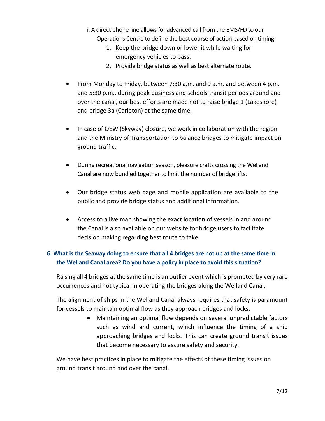- i. A direct phone line allows for advanced call from the EMS/FD to our Operations Centre to define the best course of action based on timing:
	- 1. Keep the bridge down or lower it while waiting for emergency vehicles to pass.
	- 2. Provide bridge status as well as best alternate route.
- From Monday to Friday, between 7:30 a.m. and 9 a.m. and between 4 p.m. and 5:30 p.m., during peak business and schools transit periods around and over the canal, our best efforts are made not to raise bridge 1 (Lakeshore) and bridge 3a (Carleton) at the same time.
- In case of QEW (Skyway) closure, we work in collaboration with the region and the Ministry of Transportation to balance bridges to mitigate impact on ground traffic.
- During recreational navigation season, pleasure crafts crossing the Welland Canal are now bundled together to limit the number of bridge lifts.
- Our bridge status web page and mobile application are available to the public and provide bridge status and additional information.
- Access to a live map showing the exact location of vessels in and around the Canal is also available on our website for bridge users to facilitate decision making regarding best route to take.

## **6. What is the Seaway doing to ensure that all 4 bridges are not up at the same time in the Welland Canal area? Do you have a policy in place to avoid this situation?**

Raising all 4 bridges at the same time is an outlier event which is prompted by very rare occurrences and not typical in operating the bridges along the Welland Canal.

The alignment of ships in the Welland Canal always requires that safety is paramount for vessels to maintain optimal flow as they approach bridges and locks:

> Maintaining an optimal flow depends on several unpredictable factors such as wind and current, which influence the timing of a ship approaching bridges and locks. This can create ground transit issues that become necessary to assure safety and security.

We have best practices in place to mitigate the effects of these timing issues on ground transit around and over the canal.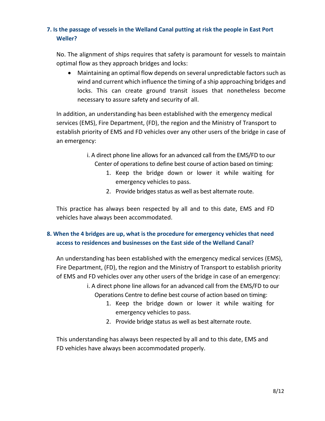## **7. Is the passage of vessels in the Welland Canal putting at risk the people in East Port Weller?**

No. The alignment of ships requires that safety is paramount for vessels to maintain optimal flow as they approach bridges and locks:

 Maintaining an optimal flow depends on several unpredictable factors such as wind and current which influence the timing of a ship approaching bridges and locks. This can create ground transit issues that nonetheless become necessary to assure safety and security of all.

In addition, an understanding has been established with the emergency medical services (EMS), Fire Department, (FD), the region and the Ministry of Transport to establish priority of EMS and FD vehicles over any other users of the bridge in case of an emergency:

- i. A direct phone line allows for an advanced call from the EMS/FD to our Center of operations to define best course of action based on timing:
	- 1. Keep the bridge down or lower it while waiting for emergency vehicles to pass.
	- 2. Provide bridges status as well as best alternate route.

This practice has always been respected by all and to this date, EMS and FD vehicles have always been accommodated.

## **8. When the 4 bridges are up, what is the procedure for emergency vehicles that need access to residences and businesses on the East side of the Welland Canal?**

An understanding has been established with the emergency medical services (EMS), Fire Department, (FD), the region and the Ministry of Transport to establish priority of EMS and FD vehicles over any other users of the bridge in case of an emergency:

- i. A direct phone line allows for an advanced call from the EMS/FD to our Operations Centre to define best course of action based on timing:
	- 1. Keep the bridge down or lower it while waiting for emergency vehicles to pass.
	- 2. Provide bridge status as well as best alternate route.

This understanding has always been respected by all and to this date, EMS and FD vehicles have always been accommodated properly.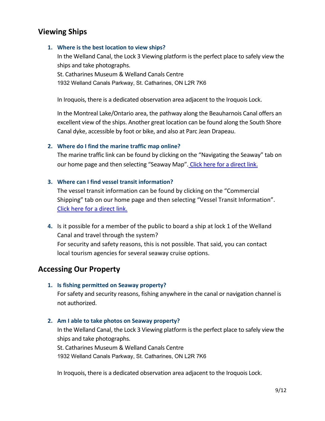## **Viewing Ships**

#### **1. Where is the best location to view ships?**

In the Welland Canal, the Lock 3 Viewing platform is the perfect place to safely view the ships and take photographs.

St. Catharines Museum & Welland Canals Centre 1932 Welland Canals Parkway, St. Catharines, ON L2R 7K6

In Iroquois, there is a dedicated observation area adjacent to the Iroquois Lock.

In the Montreal Lake/Ontario area, the pathway along the Beauharnois Canal offers an excellent view of the ships. Another great location can be found along the South Shore Canal dyke, accessible by foot or bike, and also at Parc Jean Drapeau.

#### **2. Where do I find the marine traffic map online?**

The marine traffic link can be found by clicking on the "Navigating the Seaway" tab on our home page and then selecting "Seaway Map". [Click here for a direct link.](https://greatlakes-seaway.com/en/navigating-the-seaway/seaway-map/)

#### **3. Where can I find vessel transit information?**

The vessel transit information can be found by clicking on the "Commercial Shipping" tab on our home page and then selecting "Vessel Transit Information". [Click here for a direct link.](https://greatlakes-seaway.com/en/commercial-shipping/vessel-transit-information/) 

**4.** Is it possible for a member of the public to board a ship at lock 1 of the Welland Canal and travel through the system?

For security and safety reasons, this is not possible. That said, you can contact local tourism agencies for several seaway cruise options.

## **Accessing Our Property**

#### **1. Is fishing permitted on Seaway property?**

For safety and security reasons, fishing anywhere in the canal or navigation channel is not authorized.

#### **2. Am I able to take photos on Seaway property?**

In the Welland Canal, the Lock 3 Viewing platform is the perfect place to safely view the ships and take photographs.

St. Catharines Museum & Welland Canals Centre 1932 Welland Canals Parkway, St. Catharines, ON L2R 7K6

In Iroquois, there is a dedicated observation area adjacent to the Iroquois Lock.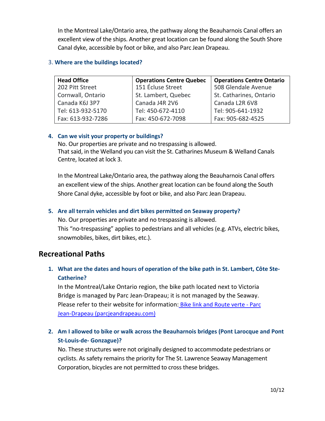In the Montreal Lake/Ontario area, the pathway along the Beauharnois Canal offers an excellent view of the ships. Another great location can be found along the South Shore Canal dyke, accessible by foot or bike, and also Parc Jean Drapeau.

#### 3. **Where are the buildings located?**

| <b>Head Office</b> | <b>Operations Centre Quebec</b> | <b>Operations Centre Ontario</b> |
|--------------------|---------------------------------|----------------------------------|
| 202 Pitt Street    | 151 Écluse Street               | 508 Glendale Avenue              |
| Cornwall, Ontario  | St. Lambert, Quebec             | St. Catharines, Ontario          |
| Canada K6J 3P7     | Canada J4R 2V6                  | Canada L2R 6V8                   |
| Tel: 613-932-5170  | Tel: 450-672-4110               | Tel: 905-641-1932                |
| Fax: 613-932-7286  | Fax: 450-672-7098               | Fax: 905-682-4525                |

#### **4. Can we visit your property or buildings?**

No. Our properties are private and no trespassing is allowed. That said, in the Welland you can visit the St. Catharines Museum & Welland Canals Centre, located at lock 3.

In the Montreal Lake/Ontario area, the pathway along the Beauharnois Canal offers an excellent view of the ships. Another great location can be found along the South Shore Canal dyke, accessible by foot or bike, and also Parc Jean Drapeau.

#### **5. Are all terrain vehicles and dirt bikes permitted on Seaway property?**

No. Our properties are private and no trespassing is allowed. This "no-trespassing" applies to pedestrians and all vehicles (e.g. ATVs, electric bikes, snowmobiles, bikes, dirt bikes, etc.).

## **Recreational Paths**

## **1. What are the dates and hours of operation of the bike path in St. Lambert, Côte Ste-Catherine?**

In the Montreal/Lake Ontario region, the bike path located next to Victoria Bridge is managed by Parc Jean-Drapeau; it is not managed by the Seaway. Please refer to their website for information: [Bike link and Route verte - Parc](https://www.parcjeandrapeau.com/en/south-shore-bike-link-route-verte-montreal/)  [Jean-Drapeau \(parcjeandrapeau.com\)](https://www.parcjeandrapeau.com/en/south-shore-bike-link-route-verte-montreal/)

## **2. Am I allowed to bike or walk across the Beauharnois bridges (Pont Larocque and Pont St-Louis-de- Gonzague)?**

No. These structures were not originally designed to accommodate pedestrians or cyclists. As safety remains the priority for The St. Lawrence Seaway Management Corporation, bicycles are not permitted to cross these bridges.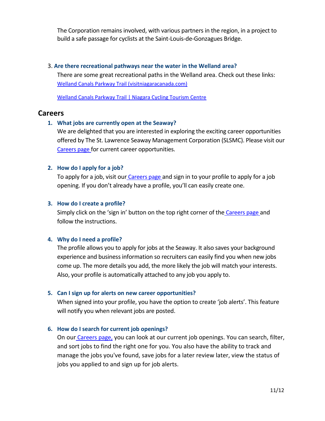The Corporation remains involved, with various partners in the region, in a project to build a safe passage for cyclists at the Saint-Louis-de-Gonzagues Bridge.

#### 3. **Are there recreational pathways near the water in the Welland area?**

There are some great recreational paths in the Welland area. Check out these links: [Welland Canals Parkway Trail \(visitniagaracanada.com\)](https://www.visitniagaracanada.com/do/welland-canals-parkway/) 

[Welland Canals Parkway Trail | Niagara Cycling Tourism Centre](http://www.niagaracyclingtourism.com/bike-routes/greater-niagara-circle-route/welland-canal-recreation-trail/) 

## **Careers**

#### **1. What jobs are currently open at the Seaway?**

We are delighted that you are interested in exploring the exciting career opportunities offered by The St. Lawrence Seaway Management Corporation (SLSMC). Please visit our [Careers page](https://career17.sapsf.com/career?company=SLSMCPRD&lang=en_US) [f](https://career17.sapsf.com/career?company=SLSMCPRD&lang=en_US)or current career opportunities.

#### **2. How do I apply for a job?**

To apply for a job, visit our [Careers page](https://career17.sapsf.com/career?company=SLSMCPRD&lang=en_US) [a](https://career17.sapsf.com/career?company=SLSMCPRD&lang=en_US)nd sign in to your profile to apply for a job opening. If you don't already have a profile, you'll can easily create one.

#### **3. How do I create a profile?**

Simply click on the 'sign in' button on the top right corner of the [Careers page](https://career17.sapsf.com/career?company=SLSMCPRD&lang=en_US) and follow the instructions.

#### **4. Why do I need a profile?**

The profile allows you to apply for jobs at the Seaway. It also saves your background experience and business information so recruiters can easily find you when new jobs come up. The more details you add, the more likely the job will match your interests. Also, your profile is automatically attached to any job you apply to.

#### **5. Can I sign up for alerts on new career opportunities?**

When signed into your profile, you have the option to create 'job alerts'. This feature will notify you when relevant jobs are posted.

#### **6. How do I search for current job openings?**

On our [Careers page](https://career17.sapsf.com/career?company=SLSMCPRD&lang=en_US)[,](https://career17.sapsf.com/career?company=SLSMCPRD&lang=en_US) you can look at our current job openings. You can search, filter, and sort jobs to find the right one for you. You also have the ability to track and manage the jobs you've found, save jobs for a later review later, view the status of jobs you applied to and sign up for job alerts.